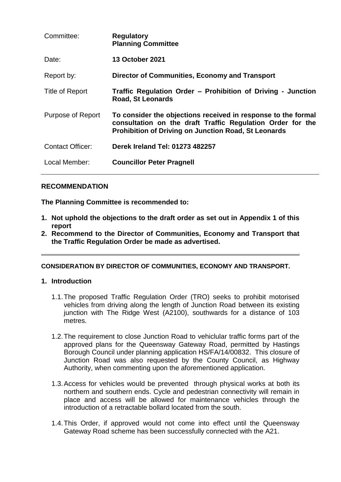| Committee:        | <b>Regulatory</b><br><b>Planning Committee</b>                                                                                                                                             |
|-------------------|--------------------------------------------------------------------------------------------------------------------------------------------------------------------------------------------|
| Date:             | <b>13 October 2021</b>                                                                                                                                                                     |
| Report by:        | <b>Director of Communities, Economy and Transport</b>                                                                                                                                      |
| Title of Report   | Traffic Regulation Order – Prohibition of Driving - Junction<br><b>Road, St Leonards</b>                                                                                                   |
| Purpose of Report | To consider the objections received in response to the formal<br>consultation on the draft Traffic Regulation Order for the<br><b>Prohibition of Driving on Junction Road, St Leonards</b> |
| Contact Officer:  | Derek Ireland Tel: 01273 482257                                                                                                                                                            |
| Local Member:     | <b>Councillor Peter Pragnell</b>                                                                                                                                                           |

## **RECOMMENDATION**

**The Planning Committee is recommended to:**

- **1. Not uphold the objections to the draft order as set out in Appendix 1 of this report**
- **2. Recommend to the Director of Communities, Economy and Transport that the Traffic Regulation Order be made as advertised.**

### **CONSIDERATION BY DIRECTOR OF COMMUNITIES, ECONOMY AND TRANSPORT.**

### **1. Introduction**

- 1.1.The proposed Traffic Regulation Order (TRO) seeks to prohibit motorised vehicles from driving along the length of Junction Road between its existing junction with The Ridge West (A2100), southwards for a distance of 103 metres.
- 1.2.The requirement to close Junction Road to vehiclular traffic forms part of the approved plans for the Queensway Gateway Road, permitted by Hastings Borough Council under planning application HS/FA/14/00832. This closure of Junction Road was also requested by the County Council, as Highway Authority, when commenting upon the aforementioned application.
- 1.3.Access for vehicles would be prevented through physical works at both its northern and southern ends. Cycle and pedestrian connectivity will remain in place and access will be allowed for maintenance vehicles through the introduction of a retractable bollard located from the south.
- 1.4.This Order, if approved would not come into effect until the Queensway Gateway Road scheme has been successfully connected with the A21.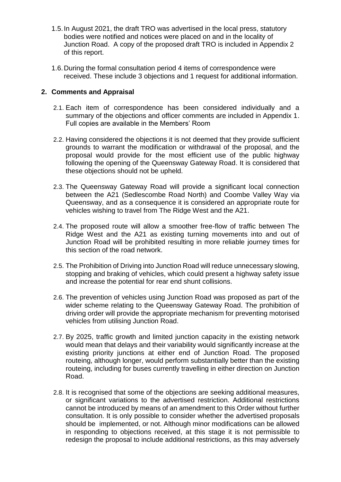- 1.5.In August 2021, the draft TRO was advertised in the local press, statutory bodies were notified and notices were placed on and in the locality of Junction Road. A copy of the proposed draft TRO is included in Appendix 2 of this report.
- 1.6.During the formal consultation period 4 items of correspondence were received. These include 3 objections and 1 request for additional information.

## **2. Comments and Appraisal**

- 2.1. Each item of correspondence has been considered individually and a summary of the objections and officer comments are included in Appendix 1. Full copies are available in the Members' Room
- 2.2. Having considered the objections it is not deemed that they provide sufficient grounds to warrant the modification or withdrawal of the proposal, and the proposal would provide for the most efficient use of the public highway following the opening of the Queensway Gateway Road. It is considered that these objections should not be upheld.
- 2.3. The Queensway Gateway Road will provide a significant local connection between the A21 (Sedlescombe Road North) and Coombe Valley Way via Queensway, and as a consequence it is considered an appropriate route for vehicles wishing to travel from The Ridge West and the A21.
- 2.4. The proposed route will allow a smoother free-flow of traffic between The Ridge West and the A21 as existing turning movements into and out of Junction Road will be prohibited resulting in more reliable journey times for this section of the road network.
- 2.5. The Prohibition of Driving into Junction Road will reduce unnecessary slowing, stopping and braking of vehicles, which could present a highway safety issue and increase the potential for rear end shunt collisions.
- 2.6. The prevention of vehicles using Junction Road was proposed as part of the wider scheme relating to the Queensway Gateway Road. The prohibition of driving order will provide the appropriate mechanism for preventing motorised vehicles from utilising Junction Road.
- 2.7. By 2025, traffic growth and limited junction capacity in the existing network would mean that delays and their variability would significantly increase at the existing priority junctions at either end of Junction Road. The proposed routeing, although longer, would perform substantially better than the existing routeing, including for buses currently travelling in either direction on Junction Road.
- 2.8. It is recognised that some of the objections are seeking additional measures, or significant variations to the advertised restriction. Additional restrictions cannot be introduced by means of an amendment to this Order without further consultation. It is only possible to consider whether the advertised proposals should be implemented, or not. Although minor modifications can be allowed in responding to objections received, at this stage it is not permissible to redesign the proposal to include additional restrictions, as this may adversely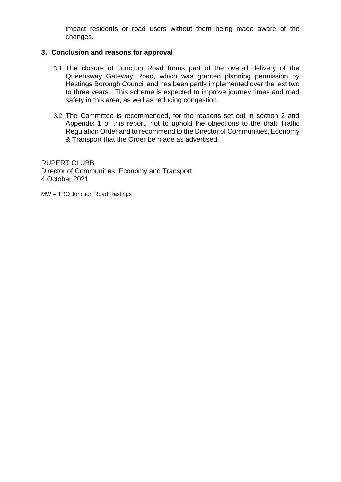impact residents or road users without them being made aware of the changes.

## **3. Conclusion and reasons for approval**

- 3.1. The closure of Junction Road forms part of the overall delivery of the Queensway Gateway Road, which was granted planning permission by Hastings Borough Council and has been partly implemented over the last two to three years. This scheme is expected to improve journey times and road safety in this area, as well as reducing congestion.
- 3.2. The Committee is recommended, for the reasons set out in section 2 and Appendix 1 of this report, not to uphold the objections to the draft Traffic Regulation Order and to recommend to the Director of Communities, Economy & Transport that the Order be made as advertised.

RUPERT CLUBB Director of Communities, Economy and Transport 4 October 2021

MW – TRO Junction Road Hastings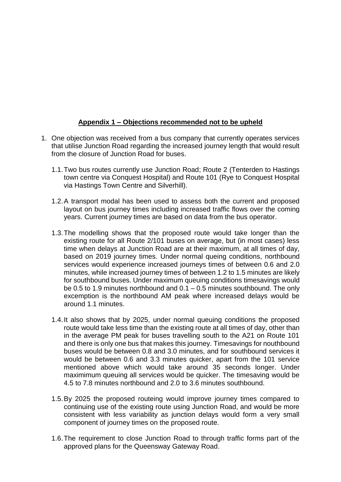## **Appendix 1 – Objections recommended not to be upheld**

- 1. One objection was received from a bus company that currently operates services that utilise Junction Road regarding the increased journey length that would result from the closure of Junction Road for buses.
	- 1.1.Two bus routes currently use Junction Road; Route 2 (Tenterden to Hastings town centre via Conquest Hospital) and Route 101 (Rye to Conquest Hospital via Hastings Town Centre and Silverhill).
	- 1.2.A transport modal has been used to assess both the current and proposed layout on bus journey times including increased traffic flows over the coming years. Current journey times are based on data from the bus operator.
	- 1.3.The modelling shows that the proposed route would take longer than the existing route for all Route 2/101 buses on average, but (in most cases) less time when delays at Junction Road are at their maximum, at all times of day, based on 2019 journey times. Under normal queing conditions, northbound services would experience increased journeys times of between 0.6 and 2.0 minutes, while increased journey times of between 1.2 to 1.5 minutes are likely for southbound buses. Under maximum queuing conditions timesavings would be 0.5 to 1.9 minutes northbound and 0.1 – 0.5 minutes southbound. The only excemption is the northbound AM peak where increased delays would be around 1.1 minutes.
	- 1.4.It also shows that by 2025, under normal queuing conditions the proposed route would take less time than the existing route at all times of day, other than in the average PM peak for buses travelling south to the A21 on Route 101 and there is only one bus that makes this journey. Timesavings for nouthbound buses would be between 0.8 and 3.0 minutes, and for southbound services it would be between 0.6 and 3.3 minutes quicker, apart from the 101 service mentioned above which would take around 35 seconds longer. Under maximimum queuing all services would be quicker. The timesaving would be 4.5 to 7.8 minutes northbound and 2.0 to 3.6 minutes southbound.
	- 1.5.By 2025 the proposed routeing would improve journey times compared to continuing use of the existing route using Junction Road, and would be more consistent with less variability as junction delays would form a very small component of journey times on the proposed route.
	- 1.6.The requirement to close Junction Road to through traffic forms part of the approved plans for the Queensway Gateway Road.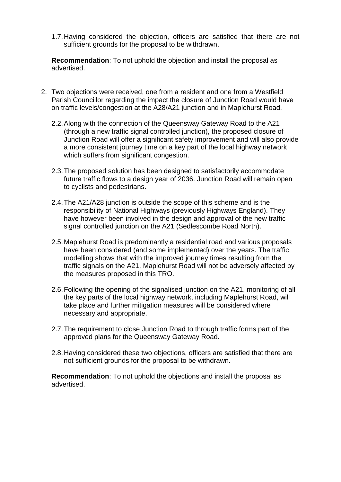1.7.Having considered the objection, officers are satisfied that there are not sufficient grounds for the proposal to be withdrawn.

**Recommendation**: To not uphold the objection and install the proposal as advertised.

- 2. Two objections were received, one from a resident and one from a Westfield Parish Councillor regarding the impact the closure of Junction Road would have on traffic levels/congestion at the A28/A21 junction and in Maplehurst Road.
	- 2.2.Along with the connection of the Queensway Gateway Road to the A21 (through a new traffic signal controlled junction), the proposed closure of Junction Road will offer a significant safety improvement and will also provide a more consistent journey time on a key part of the local highway network which suffers from significant congestion.
	- 2.3.The proposed solution has been designed to satisfactorily accommodate future traffic flows to a design year of 2036. Junction Road will remain open to cyclists and pedestrians.
	- 2.4.The A21/A28 junction is outside the scope of this scheme and is the responsibility of National Highways (previously Highways England). They have however been involved in the design and approval of the new traffic signal controlled junction on the A21 (Sedlescombe Road North).
	- 2.5.Maplehurst Road is predominantly a residential road and various proposals have been considered (and some implemented) over the years. The traffic modelling shows that with the improved journey times resulting from the traffic signals on the A21, Maplehurst Road will not be adversely affected by the measures proposed in this TRO.
	- 2.6.Following the opening of the signalised junction on the A21, monitoring of all the key parts of the local highway network, including Maplehurst Road, will take place and further mitigation measures will be considered where necessary and appropriate.
	- 2.7.The requirement to close Junction Road to through traffic forms part of the approved plans for the Queensway Gateway Road.
	- 2.8.Having considered these two objections, officers are satisfied that there are not sufficient grounds for the proposal to be withdrawn.

**Recommendation**: To not uphold the objections and install the proposal as advertised.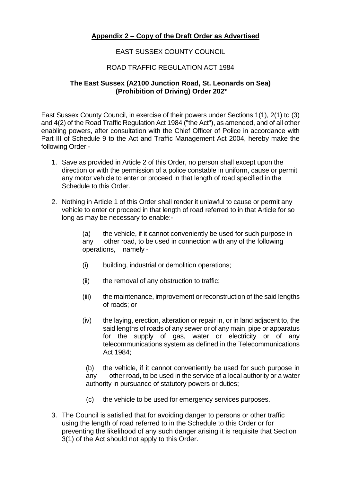# **Appendix 2 – Copy of the Draft Order as Advertised**

## EAST SUSSEX COUNTY COUNCIL

## ROAD TRAFFIC REGULATION ACT 1984

### **The East Sussex (A2100 Junction Road, St. Leonards on Sea) (Prohibition of Driving) Order 202\***

East Sussex County Council, in exercise of their powers under Sections 1(1), 2(1) to (3) and 4(2) of the Road Traffic Regulation Act 1984 ("the Act"), as amended, and of all other enabling powers, after consultation with the Chief Officer of Police in accordance with Part III of Schedule 9 to the Act and Traffic Management Act 2004, hereby make the following Order:-

- 1. Save as provided in Article 2 of this Order, no person shall except upon the direction or with the permission of a police constable in uniform, cause or permit any motor vehicle to enter or proceed in that length of road specified in the Schedule to this Order.
- 2. Nothing in Article 1 of this Order shall render it unlawful to cause or permit any vehicle to enter or proceed in that length of road referred to in that Article for so long as may be necessary to enable:-

(a) the vehicle, if it cannot conveniently be used for such purpose in any other road, to be used in connection with any of the following operations, namely -

- (i) building, industrial or demolition operations;
- (ii) the removal of any obstruction to traffic;
- (iii) the maintenance, improvement or reconstruction of the said lengths of roads; or
- (iv) the laying, erection, alteration or repair in, or in land adjacent to, the said lengths of roads of any sewer or of any main, pipe or apparatus for the supply of gas, water or electricity or of any telecommunications system as defined in the Telecommunications Act 1984;

(b) the vehicle, if it cannot conveniently be used for such purpose in any other road, to be used in the service of a local authority or a water authority in pursuance of statutory powers or duties;

- (c) the vehicle to be used for emergency services purposes.
- 3. The Council is satisfied that for avoiding danger to persons or other traffic using the length of road referred to in the Schedule to this Order or for preventing the likelihood of any such danger arising it is requisite that Section 3(1) of the Act should not apply to this Order.